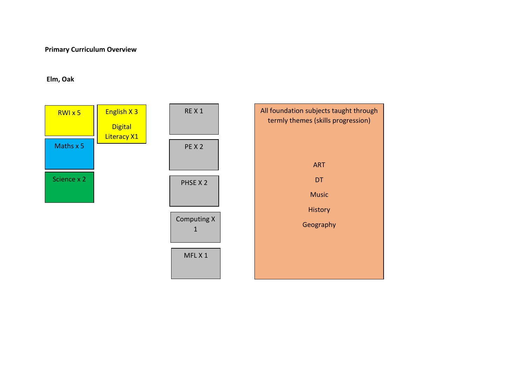## **Primary Curriculum Overview**

## **Elm, Oak**

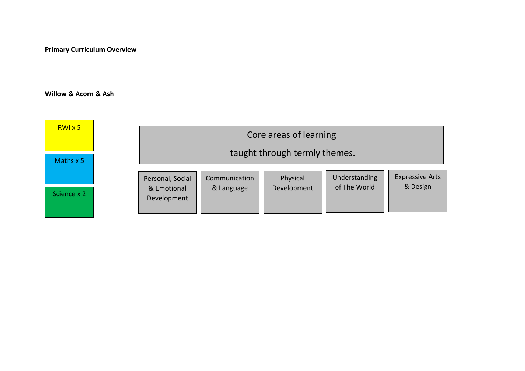**Primary Curriculum Overview**

## **Willow & Acorn & Ash**

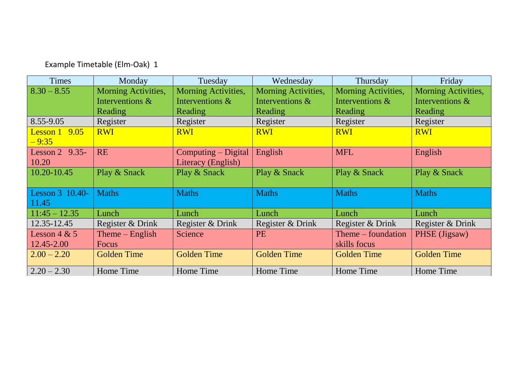| Example Timetable (Elm-Oak) 1 |  |
|-------------------------------|--|
|-------------------------------|--|

| <b>Times</b>     | Monday              | Tuesday             | Wednesday                  | Thursday             | Friday              |
|------------------|---------------------|---------------------|----------------------------|----------------------|---------------------|
| $8.30 - 8.55$    | Morning Activities, | Morning Activities, | <b>Morning Activities,</b> | Morning Activities,  | Morning Activities, |
|                  | Interventions &     | Interventions &     | Interventions &            | Interventions &      | Interventions &     |
|                  | <b>Reading</b>      | Reading             | <b>Reading</b>             | Reading              | Reading             |
| 8.55-9.05        | Register            | Register            | Register                   | Register             | Register            |
| Lesson $1$ 9.05  | <b>RWI</b>          | <b>RWI</b>          | <b>RWI</b>                 | <b>RWI</b>           | <b>RWI</b>          |
| $-9:35$          |                     |                     |                            |                      |                     |
| Lesson $2$ 9.35- | <b>RE</b>           | Computing - Digital | English                    | <b>MFL</b>           | English             |
| 10.20            |                     | Literacy (English)  |                            |                      |                     |
| $10.20 - 10.45$  | Play & Snack        | Play & Snack        | Play & Snack               | Play & Snack         | Play & Snack        |
|                  |                     |                     |                            |                      |                     |
| Lesson 3 10.40-  | <b>Maths</b>        | <b>Maths</b>        | <b>Maths</b>               | <b>Maths</b>         | <b>Maths</b>        |
| 11.45            |                     |                     |                            |                      |                     |
| $11:45 - 12.35$  | Lunch               | Lunch               | Lunch                      | Lunch                | Lunch               |
| 12.35-12.45      | Register & Drink    | Register & Drink    | Register & Drink           | Register & Drink     | Register & Drink    |
| Lesson $4 & 5$   | Theme $-$ English   | Science             | <b>PE</b>                  | $Thene$ – foundation | PHSE (Jigsaw)       |
| 12.45-2.00       | Focus               |                     |                            | skills focus         |                     |
| $2.00 - 2.20$    | <b>Golden Time</b>  | <b>Golden Time</b>  | <b>Golden Time</b>         | <b>Golden Time</b>   | <b>Golden Time</b>  |
| $2.20 - 2.30$    | Home Time           | Home Time           | Home Time                  | Home Time            | Home Time           |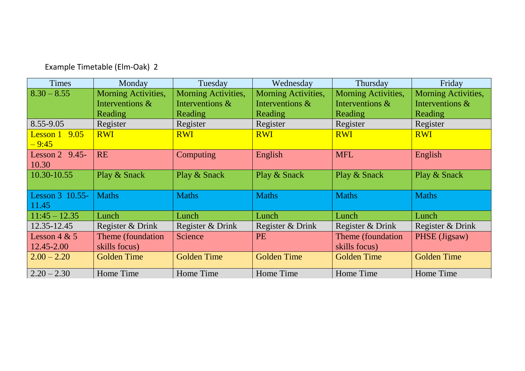| <b>Times</b>                | Monday                     | Tuesday             | Wednesday           | <b>Thursday</b>     | Friday              |
|-----------------------------|----------------------------|---------------------|---------------------|---------------------|---------------------|
| $8.30 - 8.55$               | <b>Morning Activities,</b> | Morning Activities, | Morning Activities, | Morning Activities, | Morning Activities, |
|                             | Interventions &            | Interventions &     | Interventions &     | Interventions &     | Interventions &     |
|                             | Reading                    | <b>Reading</b>      | <b>Reading</b>      | Reading             | Reading             |
| 8.55-9.05                   | Register                   | Register            | Register            | Register            | Register            |
| 9.05<br>Lesson 1<br>$-9:45$ | <b>RWI</b>                 | <b>RWI</b>          | <b>RWI</b>          | <b>RWI</b>          | <b>RWI</b>          |
| Lesson $2$ 9.45-<br>10.30   | <b>RE</b>                  | Computing           | English             | <b>MFL</b>          | English             |
| 10.30-10.55                 | Play & Snack               | Play & Snack        | Play & Snack        | Play & Snack        | Play & Snack        |
| Lesson 3 10.55-<br>11.45    | <b>Maths</b>               | <b>Maths</b>        | <b>Maths</b>        | <b>Maths</b>        | <b>Maths</b>        |
| $11:45 - 12.35$             | Lunch                      | Lunch               | Lunch               | Lunch               | Lunch               |
| 12.35-12.45                 | Register & Drink           | Register & Drink    | Register & Drink    | Register & Drink    | Register & Drink    |
| Lesson $4 & 5$              | Theme (foundation          | Science             | <b>PE</b>           | Theme (foundation)  | PHSE (Jigsaw)       |
| 12.45-2.00                  | skills focus)              |                     |                     | skills focus)       |                     |
| $2.00 - 2.20$               | Golden Time                | <b>Golden Time</b>  | <b>Golden Time</b>  | Golden Time         | <b>Golden Time</b>  |
| $2.20 - 2.30$               | Home Time                  | Home Time           | Home Time           | Home Time           | Home Time           |

Example Timetable (Elm-Oak) 2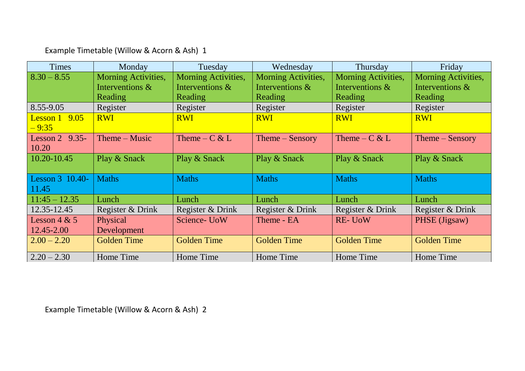Example Timetable (Willow & Acorn & Ash) 1

| <b>Times</b>      | Monday              | Tuesday             | Wednesday           | Thursday            | Friday              |
|-------------------|---------------------|---------------------|---------------------|---------------------|---------------------|
| $8.30 - 8.55$     | Morning Activities, | Morning Activities, | Morning Activities, | Morning Activities, | Morning Activities, |
|                   | Interventions &     | Interventions &     | Interventions &     | Interventions &     | Interventions &     |
|                   | <b>Reading</b>      | <b>Reading</b>      | <b>Reading</b>      | Reading             | <b>Reading</b>      |
| 8.55-9.05         | Register            | Register            | Register            | Register            | Register            |
| Lesson $1$ 9.05   | <b>RWI</b>          | <b>RWI</b>          | <b>RWI</b>          | <b>RWI</b>          | <b>RWI</b>          |
| $-9:35$           |                     |                     |                     |                     |                     |
| Lesson 2 $9.35$ - | $Thene-Music$       | Theme – $C & L$     | $Thene-Sensory$     | Theme – $C & L$     | $Thene-Sensory$     |
| 10.20             |                     |                     |                     |                     |                     |
| 10.20-10.45       | Play & Snack        | Play & Snack        | Play & Snack        | Play & Snack        | Play & Snack        |
|                   |                     |                     |                     |                     |                     |
| Lesson 3 10.40-   | <b>Maths</b>        | <b>Maths</b>        | <b>Maths</b>        | <b>Maths</b>        | <b>Maths</b>        |
| 11.45             |                     |                     |                     |                     |                     |
| $11:45 - 12.35$   | Lunch               | Lunch               | Lunch               | Lunch               | Lunch               |
| 12.35-12.45       | Register & Drink    | Register & Drink    | Register & Drink    | Register & Drink    | Register & Drink    |
| Lesson $4 & 5$    | Physical            | Science- UoW        | Theme - EA          | <b>RE-UoW</b>       | PHSE (Jigsaw)       |
| 12.45-2.00        | Development         |                     |                     |                     |                     |
| $2.00 - 2.20$     | <b>Golden Time</b>  | <b>Golden Time</b>  | <b>Golden Time</b>  | <b>Golden Time</b>  | <b>Golden Time</b>  |
| $2.20 - 2.30$     | Home Time           | Home Time           | Home Time           | Home Time           | Home Time           |

Example Timetable (Willow & Acorn & Ash) 2